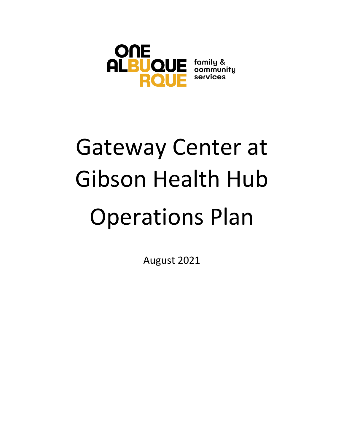

# Gateway Center at Gibson Health Hub Operations Plan

August 2021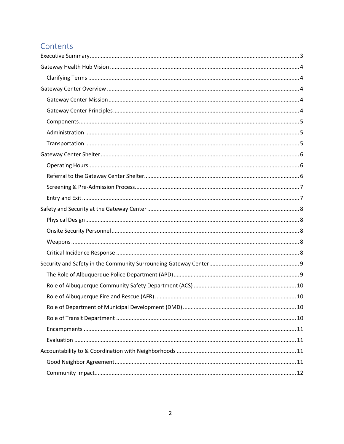# Contents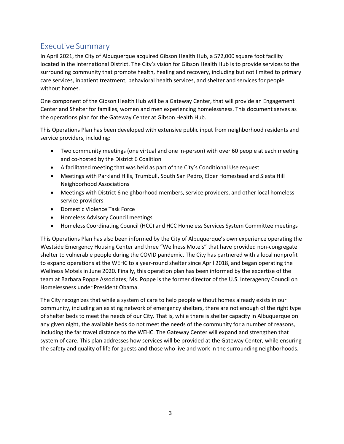# <span id="page-2-0"></span>Executive Summary

In April 2021, the City of Albuquerque acquired Gibson Health Hub, a 572,000 square foot facility located in the International District. The City's vision for Gibson Health Hub is to provide services to the surrounding community that promote health, healing and recovery, including but not limited to primary care services, inpatient treatment, behavioral health services, and shelter and services for people without homes.

One component of the Gibson Health Hub will be a Gateway Center, that will provide an Engagement Center and Shelter for families, women and men experiencing homelessness. This document serves as the operations plan for the Gateway Center at Gibson Health Hub.

This Operations Plan has been developed with extensive public input from neighborhood residents and service providers, including:

- Two community meetings (one virtual and one in-person) with over 60 people at each meeting and co-hosted by the District 6 Coalition
- A facilitated meeting that was held as part of the City's Conditional Use request
- Meetings with Parkland Hills, Trumbull, South San Pedro, Elder Homestead and Siesta Hill Neighborhood Associations
- Meetings with District 6 neighborhood members, service providers, and other local homeless service providers
- Domestic Violence Task Force
- Homeless Advisory Council meetings
- Homeless Coordinating Council (HCC) and HCC Homeless Services System Committee meetings

This Operations Plan has also been informed by the City of Albuquerque's own experience operating the Westside Emergency Housing Center and three "Wellness Motels" that have provided non-congregate shelter to vulnerable people during the COVID pandemic. The City has partnered with a local nonprofit to expand operations at the WEHC to a year-round shelter since April 2018, and began operating the Wellness Motels in June 2020. Finally, this operation plan has been informed by the expertise of the team at Barbara Poppe Associates; Ms. Poppe is the former director of the U.S. Interagency Council on Homelessness under President Obama.

The City recognizes that while a system of care to help people without homes already exists in our community, including an existing network of emergency shelters, there are not enough of the right type of shelter beds to meet the needs of our City. That is, while there is shelter capacity in Albuquerque on any given night, the available beds do not meet the needs of the community for a number of reasons, including the far travel distance to the WEHC. The Gateway Center will expand and strengthen that system of care. This plan addresses how services will be provided at the Gateway Center, while ensuring the safety and quality of life for guests and those who live and work in the surrounding neighborhoods.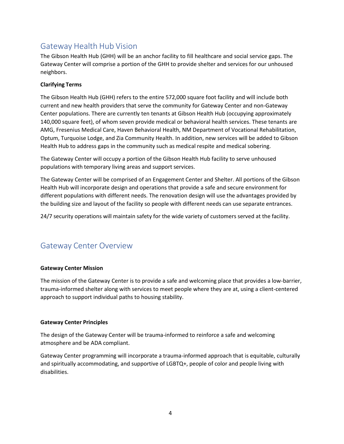# Gateway Health Hub Vision

The Gibson Health Hub (GHH) will be an anchor facility to fill healthcare and social service gaps. The Gateway Center will comprise a portion of the GHH to provide shelter and services for our unhoused neighbors.

# <span id="page-3-0"></span>**Clarifying Terms**

The Gibson Health Hub (GHH) refers to the entire 572,000 square foot facility and will include both current and new health providers that serve the community for Gateway Center and non-Gateway Center populations. There are currently ten tenants at Gibson Health Hub (occupying approximately 140,000 square feet), of whom seven provide medical or behavioral health services. These tenants are AMG, Fresenius Medical Care, Haven Behavioral Health, NM Department of Vocational Rehabilitation, Optum, Turquoise Lodge, and Zia Community Health. In addition, new services will be added to Gibson Health Hub to address gaps in the community such as medical respite and medical sobering.

The Gateway Center will occupy a portion of the Gibson Health Hub facility to serve unhoused populations with temporary living areas and support services.

The Gateway Center will be comprised of an Engagement Center and Shelter. All portions of the Gibson Health Hub will incorporate design and operations that provide a safe and secure environment for different populations with different needs. The renovation design will use the advantages provided by the building size and layout of the facility so people with different needs can use separate entrances.

24/7 security operations will maintain safety for the wide variety of customers served at the facility.

# <span id="page-3-1"></span>Gateway Center Overview

# <span id="page-3-2"></span>**Gateway Center Mission**

The mission of the Gateway Center is to provide a safe and welcoming place that provides a low-barrier, trauma-informed shelter along with services to meet people where they are at, using a client-centered approach to support individual paths to housing stability.

# <span id="page-3-3"></span>**Gateway Center Principles**

The design of the Gateway Center will be trauma-informed to reinforce a safe and welcoming atmosphere and be ADA compliant.

Gateway Center programming will incorporate a trauma-informed approach that is equitable, culturally and spiritually accommodating, and supportive of LGBTQ+, people of color and people living with disabilities.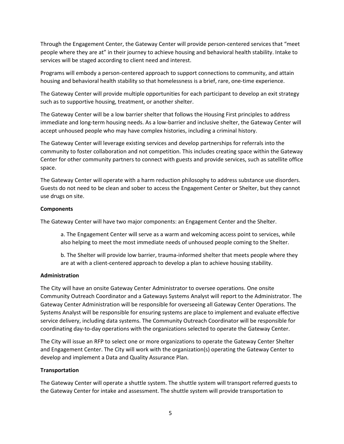Through the Engagement Center, the Gateway Center will provide person-centered services that "meet people where they are at" in their journey to achieve housing and behavioral health stability. Intake to services will be staged according to client need and interest.

Programs will embody a person-centered approach to support connections to community, and attain housing and behavioral health stability so that homelessness is a brief, rare, one-time experience.

The Gateway Center will provide multiple opportunities for each participant to develop an exit strategy such as to supportive housing, treatment, or another shelter.

The Gateway Center will be a low barrier shelter that follows the Housing First principles to address immediate and long-term housing needs. As a low-barrier and inclusive shelter, the Gateway Center will accept unhoused people who may have complex histories, including a criminal history.

The Gateway Center will leverage existing services and develop partnerships for referrals into the community to foster collaboration and not competition. This includes creating space within the Gateway Center for other community partners to connect with guests and provide services, such as satellite office space.

The Gateway Center will operate with a harm reduction philosophy to address substance use disorders. Guests do not need to be clean and sober to access the Engagement Center or Shelter, but they cannot use drugs on site.

#### <span id="page-4-0"></span>**Components**

The Gateway Center will have two major components: an Engagement Center and the Shelter.

a. The Engagement Center will serve as a warm and welcoming access point to services, while also helping to meet the most immediate needs of unhoused people coming to the Shelter.

b. The Shelter will provide low barrier, trauma-informed shelter that meets people where they are at with a client-centered approach to develop a plan to achieve housing stability.

#### <span id="page-4-1"></span>**Administration**

The City will have an onsite Gateway Center Administrator to oversee operations. One onsite Community Outreach Coordinator and a Gateways Systems Analyst will report to the Administrator. The Gateway Center Administration will be responsible for overseeing all Gateway Center Operations. The Systems Analyst will be responsible for ensuring systems are place to implement and evaluate effective service delivery, including data systems. The Community Outreach Coordinator will be responsible for coordinating day-to-day operations with the organizations selected to operate the Gateway Center.

The City will issue an RFP to select one or more organizations to operate the Gateway Center Shelter and Engagement Center. The City will work with the organization(s) operating the Gateway Center to develop and implement a Data and Quality Assurance Plan.

#### <span id="page-4-2"></span>**Transportation**

The Gateway Center will operate a shuttle system. The shuttle system will transport referred guests to the Gateway Center for intake and assessment. The shuttle system will provide transportation to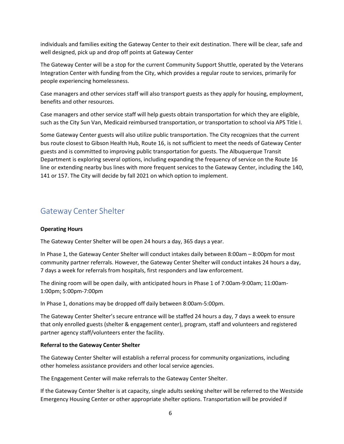individuals and families exiting the Gateway Center to their exit destination. There will be clear, safe and well designed, pick up and drop off points at Gateway Center

The Gateway Center will be a stop for the current Community Support Shuttle, operated by the Veterans Integration Center with funding from the City, which provides a regular route to services, primarily for people experiencing homelessness.

Case managers and other services staff will also transport guests as they apply for housing, employment, benefits and other resources.

Case managers and other service staff will help guests obtain transportation for which they are eligible, such as the City Sun Van, Medicaid reimbursed transportation, or transportation to school via APS Title I.

Some Gateway Center guests will also utilize public transportation. The City recognizes that the current bus route closest to Gibson Health Hub, Route 16, is not sufficient to meet the needs of Gateway Center guests and is committed to improving public transportation for guests. The Albuquerque Transit Department is exploring several options, including expanding the frequency of service on the Route 16 line or extending nearby bus lines with more frequent services to the Gateway Center, including the 140, 141 or 157. The City will decide by fall 2021 on which option to implement.

# <span id="page-5-0"></span>Gateway Center Shelter

#### <span id="page-5-1"></span>**Operating Hours**

The Gateway Center Shelter will be open 24 hours a day, 365 days a year.

In Phase 1, the Gateway Center Shelter will conduct intakes daily between 8:00am – 8:00pm for most community partner referrals. However, the Gateway Center Shelter will conduct intakes 24 hours a day, 7 days a week for referrals from hospitals, first responders and law enforcement.

The dining room will be open daily, with anticipated hours in Phase 1 of 7:00am-9:00am; 11:00am-1:00pm; 5:00pm-7:00pm

In Phase 1, donations may be dropped off daily between 8:00am-5:00pm.

The Gateway Center Shelter's secure entrance will be staffed 24 hours a day, 7 days a week to ensure that only enrolled guests (shelter & engagement center), program, staff and volunteers and registered partner agency staff/volunteers enter the facility.

#### <span id="page-5-2"></span>**Referral to the Gateway Center Shelter**

The Gateway Center Shelter will establish a referral process for community organizations, including other homeless assistance providers and other local service agencies.

The Engagement Center will make referrals to the Gateway Center Shelter.

If the Gateway Center Shelter is at capacity, single adults seeking shelter will be referred to the Westside Emergency Housing Center or other appropriate shelter options. Transportation will be provided if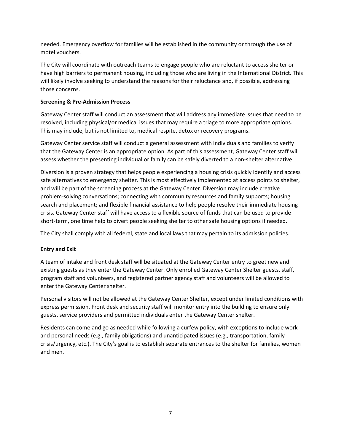needed. Emergency overflow for families will be established in the community or through the use of motel vouchers.

The City will coordinate with outreach teams to engage people who are reluctant to access shelter or have high barriers to permanent housing, including those who are living in the International District. This will likely involve seeking to understand the reasons for their reluctance and, if possible, addressing those concerns.

# <span id="page-6-0"></span>**Screening & Pre-Admission Process**

Gateway Center staff will conduct an assessment that will address any immediate issues that need to be resolved, including physical/or medical issues that may require a triage to more appropriate options. This may include, but is not limited to, medical respite, detox or recovery programs.

Gateway Center service staff will conduct a general assessment with individuals and families to verify that the Gateway Center is an appropriate option. As part of this assessment, Gateway Center staff will assess whether the presenting individual or family can be safely diverted to a non-shelter alternative.

Diversion is a proven strategy that helps people experiencing a housing crisis quickly identify and access safe alternatives to emergency shelter. This is most effectively implemented at access points to shelter, and will be part of the screening process at the Gateway Center. Diversion may include creative problem-solving conversations; connecting with community resources and family supports; housing search and placement; and flexible financial assistance to help people resolve their immediate housing crisis. Gateway Center staff will have access to a flexible source of funds that can be used to provide short-term, one time help to divert people seeking shelter to other safe housing options if needed.

The City shall comply with all federal, state and local laws that may pertain to its admission policies.

# <span id="page-6-1"></span>**Entry and Exit**

A team of intake and front desk staff will be situated at the Gateway Center entry to greet new and existing guests as they enter the Gateway Center. Only enrolled Gateway Center Shelter guests, staff, program staff and volunteers, and registered partner agency staff and volunteers will be allowed to enter the Gateway Center shelter.

Personal visitors will not be allowed at the Gateway Center Shelter, except under limited conditions with express permission. Front desk and security staff will monitor entry into the building to ensure only guests, service providers and permitted individuals enter the Gateway Center shelter.

Residents can come and go as needed while following a curfew policy, with exceptions to include work and personal needs (e.g., family obligations) and unanticipated issues (e.g., transportation, family crisis/urgency, etc.). The City's goal is to establish separate entrances to the shelter for families, women and men.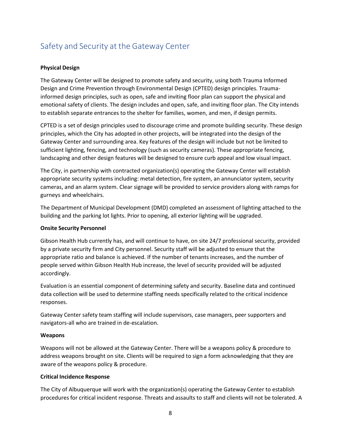# <span id="page-7-0"></span>Safety and Security at the Gateway Center

## <span id="page-7-1"></span>**Physical Design**

The Gateway Center will be designed to promote safety and security, using both Trauma Informed Design and Crime Prevention through Environmental Design (CPTED) design principles. Traumainformed design principles, such as open, safe and inviting floor plan can support the physical and emotional safety of clients. The design includes and open, safe, and inviting floor plan. The City intends to establish separate entrances to the shelter for families, women, and men, if design permits.

CPTED is a set of design principles used to discourage crime and promote building security. These design principles, which the City has adopted in other projects, will be integrated into the design of the Gateway Center and surrounding area. Key features of the design will include but not be limited to sufficient lighting, fencing, and technology (such as security cameras). These appropriate fencing, landscaping and other design features will be designed to ensure curb appeal and low visual impact.

The City, in partnership with contracted organization(s) operating the Gateway Center will establish appropriate security systems including: metal detection, fire system, an annunciator system, security cameras, and an alarm system. Clear signage will be provided to service providers along with ramps for gurneys and wheelchairs.

The Department of Municipal Development (DMD) completed an assessment of lighting attached to the building and the parking lot lights. Prior to opening, all exterior lighting will be upgraded.

#### <span id="page-7-2"></span>**Onsite Security Personnel**

Gibson Health Hub currently has, and will continue to have, on site 24/7 professional security, provided by a private security firm and City personnel. Security staff will be adjusted to ensure that the appropriate ratio and balance is achieved. If the number of tenants increases, and the number of people served within Gibson Health Hub increase, the level of security provided will be adjusted accordingly.

Evaluation is an essential component of determining safety and security. Baseline data and continued data collection will be used to determine staffing needs specifically related to the critical incidence responses.

Gateway Center safety team staffing will include supervisors, case managers, peer supporters and navigators-all who are trained in de-escalation.

#### <span id="page-7-3"></span>**Weapons**

Weapons will not be allowed at the Gateway Center. There will be a weapons policy & procedure to address weapons brought on site. Clients will be required to sign a form acknowledging that they are aware of the weapons policy & procedure.

#### <span id="page-7-4"></span>**Critical Incidence Response**

The City of Albuquerque will work with the organization(s) operating the Gateway Center to establish procedures for critical incident response. Threats and assaults to staff and clients will not be tolerated. A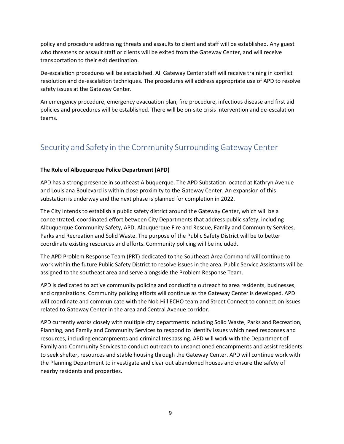policy and procedure addressing threats and assaults to client and staff will be established. Any guest who threatens or assault staff or clients will be exited from the Gateway Center, and will receive transportation to their exit destination.

De-escalation procedures will be established. All Gateway Center staff will receive training in conflict resolution and de-escalation techniques. The procedures will address appropriate use of APD to resolve safety issues at the Gateway Center.

An emergency procedure, emergency evacuation plan, fire procedure, infectious disease and first aid policies and procedures will be established. There will be on-site crisis intervention and de-escalation teams.

# <span id="page-8-0"></span>Security and Safety in the Community Surrounding Gateway Center

# <span id="page-8-1"></span>**The Role of Albuquerque Police Department (APD)**

APD has a strong presence in southeast Albuquerque. The APD Substation located at Kathryn Avenue and Louisiana Boulevard is within close proximity to the Gateway Center. An expansion of this substation is underway and the next phase is planned for completion in 2022.

The City intends to establish a public safety district around the Gateway Center, which will be a concentrated, coordinated effort between City Departments that address public safety, including Albuquerque Community Safety, APD, Albuquerque Fire and Rescue, Family and Community Services, Parks and Recreation and Solid Waste. The purpose of the Public Safety District will be to better coordinate existing resources and efforts. Community policing will be included.

The APD Problem Response Team (PRT) dedicated to the Southeast Area Command will continue to work within the future Public Safety District to resolve issues in the area. Public Service Assistants will be assigned to the southeast area and serve alongside the Problem Response Team.

APD is dedicated to active community policing and conducting outreach to area residents, businesses, and organizations. Community policing efforts will continue as the Gateway Center is developed. APD will coordinate and communicate with the Nob Hill ECHO team and Street Connect to connect on issues related to Gateway Center in the area and Central Avenue corridor.

APD currently works closely with multiple city departments including Solid Waste, Parks and Recreation, Planning, and Family and Community Services to respond to identify issues which need responses and resources, including encampments and criminal trespassing. APD will work with the Department of Family and Community Services to conduct outreach to unsanctioned encampments and assist residents to seek shelter, resources and stable housing through the Gateway Center. APD will continue work with the Planning Department to investigate and clear out abandoned houses and ensure the safety of nearby residents and properties.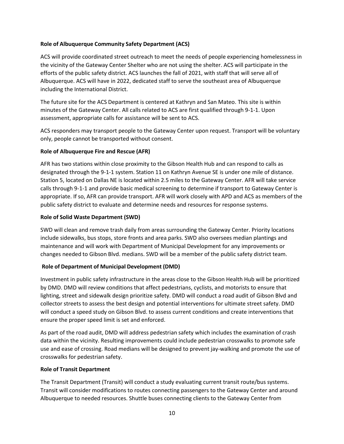## <span id="page-9-0"></span>**Role of Albuquerque Community Safety Department (ACS)**

ACS will provide coordinated street outreach to meet the needs of people experiencing homelessness in the vicinity of the Gateway Center Shelter who are not using the shelter. ACS will participate in the efforts of the public safety district. ACS launches the fall of 2021, with staff that will serve all of Albuquerque. ACS will have in 2022, dedicated staff to serve the southeast area of Albuquerque including the International District.

The future site for the ACS Department is centered at Kathryn and San Mateo. This site is within minutes of the Gateway Center. All calls related to ACS are first qualified through 9-1-1. Upon assessment, appropriate calls for assistance will be sent to ACS.

ACS responders may transport people to the Gateway Center upon request. Transport will be voluntary only, people cannot be transported without consent.

## <span id="page-9-1"></span>**Role of Albuquerque Fire and Rescue (AFR)**

AFR has two stations within close proximity to the Gibson Health Hub and can respond to calls as designated through the 9-1-1 system. Station 11 on Kathryn Avenue SE is under one mile of distance. Station 5, located on Dallas NE is located within 2.5 miles to the Gateway Center. AFR will take service calls through 9-1-1 and provide basic medical screening to determine if transport to Gateway Center is appropriate. If so, AFR can provide transport. AFR will work closely with APD and ACS as members of the public safety district to evaluate and determine needs and resources for response systems.

## **Role of Solid Waste Department (SWD)**

SWD will clean and remove trash daily from areas surrounding the Gateway Center. Priority locations include sidewalks, bus stops, store fronts and area parks. SWD also oversees median plantings and maintenance and will work with Department of Municipal Development for any improvements or changes needed to Gibson Blvd. medians. SWD will be a member of the public safety district team.

# <span id="page-9-2"></span>**Role of Department of Municipal Development (DMD)**

Investment in public safety infrastructure in the areas close to the Gibson Health Hub will be prioritized by DMD. DMD will review conditions that affect pedestrians, cyclists, and motorists to ensure that lighting, street and sidewalk design prioritize safety. DMD will conduct a road audit of Gibson Blvd and collector streets to assess the best design and potential interventions for ultimate street safety. DMD will conduct a speed study on Gibson Blvd. to assess current conditions and create interventions that ensure the proper speed limit is set and enforced.

As part of the road audit, DMD will address pedestrian safety which includes the examination of crash data within the vicinity. Resulting improvements could include pedestrian crosswalks to promote safe use and ease of crossing. Road medians will be designed to prevent jay-walking and promote the use of crosswalks for pedestrian safety.

#### <span id="page-9-3"></span>**Role of Transit Department**

The Transit Department (Transit) will conduct a study evaluating current transit route/bus systems. Transit will consider modifications to routes connecting passengers to the Gateway Center and around Albuquerque to needed resources. Shuttle buses connecting clients to the Gateway Center from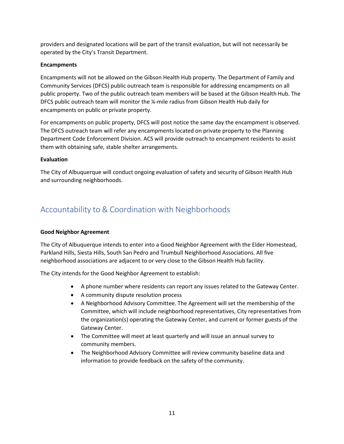providers and designated locations will be part of the transit evaluation, but will not necessarily be operated by the City's Transit Department.

## <span id="page-10-0"></span>**Encampments**

Encampments will not be allowed on the Gibson Health Hub property. The Department of Family and Community Services (DFCS) public outreach team is responsible for addressing encampments on all public property. Two of the public outreach team members will be based at the Gibson Health Hub. The DFCS public outreach team will monitor the ¼-mile radius from Gibson Health Hub daily for encampments on public or private property.

For encampments on public property, DFCS will post notice the same day the encampment is observed. The DFCS outreach team will refer any encampments located on private property to the Planning Department Code Enforcement Division. ACS will provide outreach to encampment residents to assist them with obtaining safe, stable shelter arrangements.

#### <span id="page-10-1"></span>**Evaluation**

The City of Albuquerque will conduct ongoing evaluation of safety and security of Gibson Health Hub and surrounding neighborhoods.

# <span id="page-10-2"></span>Accountability to & Coordination with Neighborhoods

# <span id="page-10-3"></span>**Good Neighbor Agreement**

The City of Albuquerque intends to enter into a Good Neighbor Agreement with the Elder Homestead, Parkland Hills, Siesta Hills, South San Pedro and Trumbull Neighborhood Associations. All five neighborhood associations are adjacent to or very close to the Gibson Health Hub facility.

The City intends for the Good Neighbor Agreement to establish:

- A phone number where residents can report any issues related to the Gateway Center.
- A community dispute resolution process
- A Neighborhood Advisory Committee. The Agreement will set the membership of the Committee, which will include neighborhood representatives, City representatives from the organization(s) operating the Gateway Center, and current or former guests of the Gateway Center.
- The Committee will meet at least quarterly and will issue an annual survey to community members.
- The Neighborhood Advisory Committee will review community baseline data and information to provide feedback on the safety of the community.